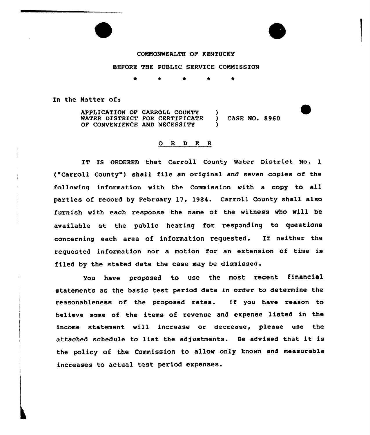## COMMONWEALTH OF KENTUCKY

## BEFORE THE PUBLIC SERVICE COMMISSION

In the Matter of:

APPLICATION OF CARROLL COUNTY WATER DISTRICT FOR CERTIFICATE ) CASE NO. 8960 OF CONVENIENCE AND NECESSITY

## 0 <sup>R</sup> <sup>D</sup> <sup>E</sup> R

IT IS ORDERED that Carroll County Water District No. 1 t"Carroll County" ) shall file an original and seven copies of the following information vith the Commission with a copy to all parties of record by February 17, 1984. Carroll County shall also furnish with each response the name of the witness vho vill be available at the public hearing for responding to questions concerning each area of information requested. If neither the requested information nor a motion for an extension of time is filed by the stated date the case may be dismissed.

You have proposed to use the most recent financial statements as the basic test period data in order to determine the reasonableness of the proposed rates. If you have reason to believe some of the items of revenue and expense listed in the income statement vill increase or decrease, please use the attached schedule to list the adjustments. Be advised that it is the policy of the Commission to allow only known and measurable increases to actual test period expenses.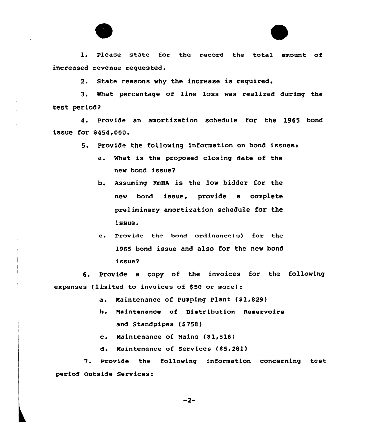

1. Please state for the record the total amount of increased revenue requested.

2. State reasons why the increase is required.

3. What percentage of line loss was realized during the test period?

4. provide an amortization schedule for the 1955 bond issue for \$ 454,000.

5. Provide the following information on bond issues:

- a. What is the proposed closing date of the new bond issue?
- b. Assuming FmHA is the low bidder for the new bond issue, provide a complete preliminary amortization schedule for the issue.
- c. Provide the bond ordinance(s) for the 1965 bond issue and also for the new bond issue?

6. Provide a copy of the invoices for the following expenses (limited to invoices of \$50 or more):

a. Maintenance of Pumping Plant (\$1,829)

- b. Na intenanco of Distribution Reservoirs and Standpipes (\$758)
- c. Maintenance of Nains (\$1,516)
- d. Naintenance of Services (\$5,281)

7. Provide the following information concerning test period Outside Services:

 $-2-$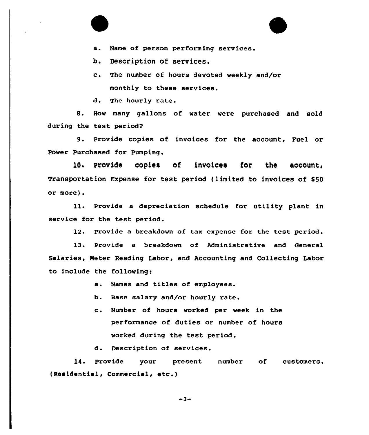

a. Name of person performing services.

b. Description of services.

- c. The number of hours devoted weekly and/or monthly to these services.
- d. The hourly rate.

8. How many gallons of water were purchased and sold during the test period?

9. Provide copies of invoices for the account, Puel or Power Purchased for Pumping

10. Provide copies of invoices for the account, Transportation Expense for test period (limited to invoices of \$50 or more).

11. Provide a depreciation schedule for utility plant in service for the test period.

12. Provide a breakdown of tax expense for the test period.

13. Provide a breakdown of Administrative and General Salaries, Neter Reading Labor, and Accounting and Collecting Labor to include the following:

- a. Names and titles of employees.
- b. Base salary and/or hourly rate.
- c. Number of hours worked per week in the performance of duties or number of hours worked during the test period.

d. Description of services.

14. Provide your present (Residential, Commercial, etc.) number of customers.

 $-3-$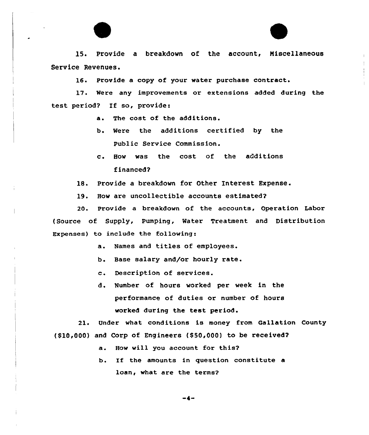

15. Provide a breakdown of the account, Miscellaneous Service Revenues.

16. Provide a copy of your water purchase contract.

17. Mere any improvements or extensions added during the test period? If so, provide:

- a. The cost of the additions.
- b. Were the additions certified by the Public Service Commission.
- c. How was the cost of the additions financed?
- 18. Provide a breakdown for Other Interest Expense.
- 19. How are uncollectible accounts estimated?

20. Provide a breakdown of the accounts, Operation Labor (Source of Supply, Pumping, Water Treatment and Distribution Expenses) to include the following:

- a. Names and titles of employees.
- b. Base salary and/or hourly rate.
- c. Description of services.
- d. Number of hours worked per week in the performance of duties or number of hours worked during the test period.

21. Under what conditions is money from Gallation County (\$10,000) and Corp of Engineers (\$50,000) ta be received?

- a. How will you account for this?
- b. Tf the amounts in question constitute a loan, what are the terms?